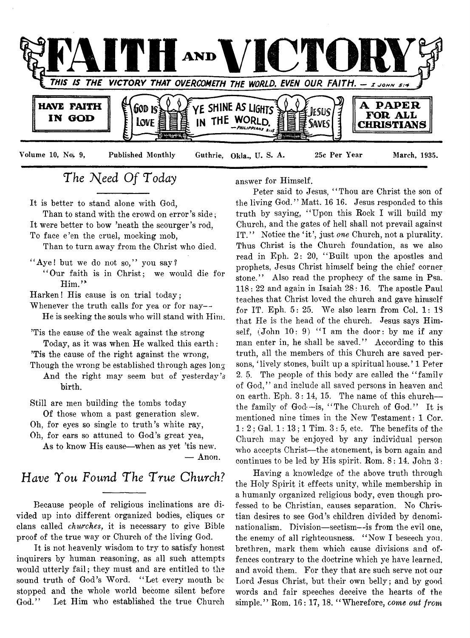

# The Need Of Today

It is better to stand alone with God,

Than to stand with the crowd on error's side; It were better to bow 'neath the scourger's rod, To face e'en the cruel, mocking mob,

Than to turn away from the Christ who died.

- "Aye! but we do not so," you say?
	- " Our faith is in Christ; we would die for  $Him.'$

Harken! His cause is on trial today;

Whenever the truth calls for yea or for nay--He is seeking the souls who will stand with Him.

'Tis the cause of the weak against the strong Today, as it was when He walked this earth: 'Tis the cause of the right against the wrong,

Though the wrong be established through ages long

And the right may seem but of yesterday's birth.

Still are men building the tombs today

Of those whom a past generation slew.

Oh, for eyes so single to truth's white ray,

Oh, for ears so attuned to God's great yea,

As to know His cause—when as yet 'tis new. — Anon.

# *Have You Found The True Church?*

Because people of religious inclinations are *divided* up into different organized bodies, cliques or clans called *churches,* it is necessary to give Bible proof of the true way or Church of the living God.

It is not heavenly wisdom to try to satisfy honest inquirers by human reasoning, as all such attempts would utterly fail; they must and are entitled to the sound truth of God's Word. "Let every mouth be stopped and the whole world become silent before God." Let Him who established the true Church

answer for Himself.

Peter said to Jesus, " Thou are Christ the son of the living God." Matt. 16 16. Jesus responded to this truth by saying, " Upon this Rock I will build my Church, and the gates of hell shall not prevail against IT." Notice the 'it', just one Church, not a plurality. Thus Christ is the Church foundation, as we also read in Eph. 2: 20, " Built upon the apostles and prophets, Jesus Christ himself being the chief corner stone." Also read the prophecy of the same in Psa. 118: 22 and again in Isaiah 28: 16. The apostle Paul teaches that Christ loved the church and gave himself for IT. Eph. 5: 25. We also learn from Col. 1: 18 that He is the head of the church. Jesus says Himself,  $(John 10: 9)$  "I am the door: by me if any man enter in, he shall be saved." According to this truth, all the members of this Church are saved persons, 'lively stones, built up a spiritual house.' 1 Peter 2. 5. The people of this body are called the "family" of God," and include all saved persons in heaven and on earth. Eph. 3: 14, 15. The name of this church the family of God—is, " The Church of God." It is mentioned nine times in the New Testament: 1 Cor.  $1:2$ ; Gal.  $1:13$ ; 1 Tim.  $3:5$ , etc. The benefits of the Church may be enjoyed by any individual person who accepts Christ— the atonement, is born again and continues to be led by His spirit. Rom. 8: 14. John 3:

Having a knowledge of the above truth through the Holy Spirit it effects unity, while membership in a humanly organized religious body, even though professed to be Christian, causes separation. No Christian desires to see God's children divided by denominationalism. Division—sectism—-is from the evil one, the enemy of all righteousness. " Now I beseech you, brethren, mark them which cause divisions and offences contrary to the doctrine which ye have learned, and avoid them. For they that are such serve not our Lord Jesus Christ, but their own belly; and by good words and fair speeches deceive the hearts of the simple." Rom. 16: 17,18. " Wherefore, *come out frcm*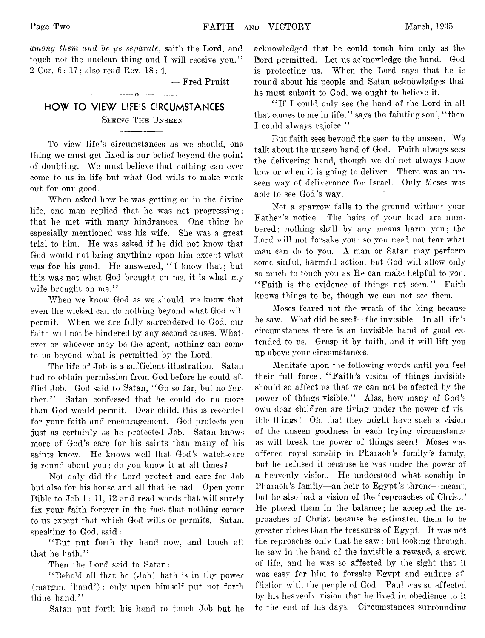*among them and be ye separate*, saith the Lord, and touch not the unclean thing and I will receive you." 2 Cor. 6: 17; also read Rev. 18:4.

— Fred Pruitt

# **HOW TO VIEW LIFE'S CIRCUMSTANCES** SEEING THE UNSEEN

---------------- *n*—------------

To view life's circumstances as we should, one thing we must get fixed is our belief beyond the point of doubting. We must believe that nothing can ever come to us in life but what God wills to make work out for our good.

When asked how he was getting on in the divine life, one man replied that he was not progressing; that he met with many hindrances. One thing he especially mentioned was his wife. She was a great trial to him. He was asked if he did not know that God would not bring anything upon him except what was for his good. He answered, "I know that; but this was not what God brought on me, it is what my wife brought on me."

When we know God as we should, we know that even the wicked can do nothing beyond what God will permit. When we are fully surrendered to God, our faith will not be hindered by any second causes. Whatever or whoever may be the agent, nothing can come to us beyond what is permitted by the Lord.

The life of Job is a sufficient illustration. Satan had to obtain permission from God before he could afflict Job. God said to Satan, " Go so far, but no further." Satan confessed that he could do no more than God would permit. Dear child, this is recorded for your faith and encouragement. God protects you just as certainly as he protected Job. Satan knows more of God's care for his saints than many of his saints know. He knows well that God's watch-care is round about you ; do you know it at all times ?

Not only did the Lord protect and care for Job but also for his house and all that he had. Open your Bible to Job 1: 11, 12 and read words that will surely fix your faith forever in the fact that nothing comes to us except that which God wills or permits. Satan, speaking to God, said:

"But put forth thy hand now, and touch all that he hath."

Then the Lord said to Satan:

" Behold all that he (Job) hath is in thy power (margin, 'hand'); only upon himself put not forth thine hand."

Satan put forth his hand to touch Job but he

acknowledged that he could touch him only as the Lord permitted. Let us acknowledge the hand. God is protecting us. When the Lord says that he is round about his people and Satan acknowledges that he must submit to God, we ought to believe it.

" If I could only see the hand of the Lord in all that comes to me in life," says the fainting soul, "then I could always rejoice."

But faith sees beyond the seen to the unseen. We talk about 1he unseen hand of God. Faith always sees the delivering hand, though we do net always know how or when it is going to deliver. There was an unseen way of deliverance for Israel. Only Moses was able to see God's way.

Not a sparrow falls to the ground without your Father's notice. The hairs of your head are numbered; nothing shall by any means harm you; the Lord will not forsake you ; so you need not fear what man can do to you. A man or Satan may perform some sinful, harmful action, but God will allow only so much to touch you as He can make helpful to you. "Faith is the evidence of things not seen." Faith knows things to be, though we can not see them.

Moses feared not the wrath of the king because he saw. What did he see?—the invisible. In all life's circumstances there is an invisible hand of good extended to us. Grasp it by faith, and it will lift you up above your circumstances.

Meditate upon the following words until you feel their full force: "Faith's vision of things invisible should so affect us that we can not be afected by the power of things visible." Alas, how many of God's own dear children are living under the power of visible things! Oh, that they might have such a vision of the unseen goodness in each trying circumstance as will break the power of things seen! Moses was offered royal sonship in Pharaoh's family's family, but he refused it because he was under the power of a heavenly vision. He understood what sonship in Pharaoh's family— an heir to Egypt's throne—meant, but he also had a vision of the 'reproaches of Christ.' He placed them in the balance; he accepted the reproaches of Christ because he estimated them to be greater riches than the treasures of Egypt. It was not the reproaches only that he saw: but looking through, he saw in the hand of the invisible a reward, a crown of life, and he was so affected by the sight that it was easy for him to forsake Egypt and endure affliction with the people of God. Paul was so affected by his heavenly vision that he lived in obedience to it to the end of his days. Circumstances surrounding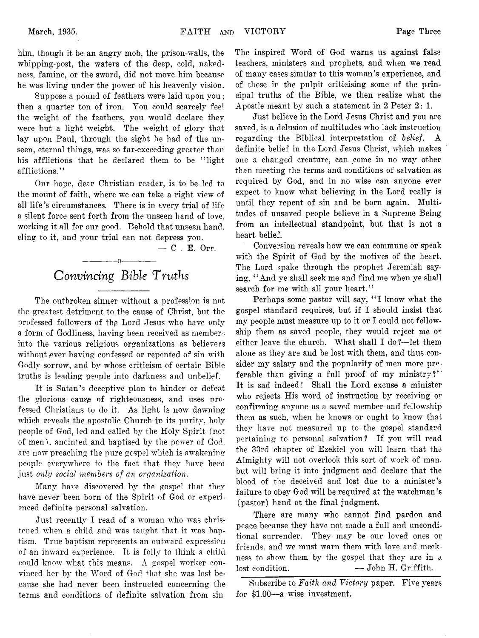him, though it be an angry mob, the prison-walls, the whipping-post, the waters of the deep, cold, nakedness, famine, or the sword, did not move him because, he was living under the power of his heavenly vision.

Suppose a pound of feathers were laid upon you ; then a quarter ton of iron. You could scarcely feel the weight of the feathers, you would declare they were but a light weight. The weight of glory that lay upon Paul, through the sight he had of the unseen, eternal things, was so far-exceeding greater than his afflictions that he declared them to be "light afflictions."

Our hope, dear Christian reader, is to be led to the mount of faith, where we can take a right view of all life's circumstances. There is in every trial of life a silent force sent forth from the unseen hand of love, working it all for our good. Behold that unseen hand, cling to it, and your trial can not depress you.

— C . E. Orr.

# ---------- —o------------- *Convincing Bible Truths*

The outbroken sinner without a profession is not the greatest detriment to the cause of Christ, but the professed followers of the Lord Jesus who have only a form of Godliness, having been received as members into the various religious organizations as believers without ever having confessed or repented of sin with Godly sorrow, and by whose criticism of certain Bible truths is leading people into darkness and unbelief.

It is Satan's deceptive plan to hinder or defeat the glorious cause of righteousness, and uses professed Christians to do it. As light is now dawning which reveals the apostolic Church in its purity, holy people of God, led and called by the Holy Spirit (not of men), anointed and baptised by the power of God, are now preaching the pure gospel which is awakening people everywhere to the fact that they have been just *only social members of an organization.*

Many have discovered by the gospel that they have never been born of the Spirit of God or experienced definite personal salvation.

Just recently I read of a woman who was christened when a child and was taught that it was baptism. True baptism represents an outward expression of an inward experience. It is folly to think a child could know what this means. A gospel worker convinced her by the Word of God that she was lost because she had never been instructed concerning the terms and conditions of definite salvation from sin

The inspired Word of God warns us against false teachers, ministers and prophets, and when we read of many cases similar to this woman's experience, and of those in the pulpit criticising some of the principal truths of the Bible, we then realize what the Apostle meant by such a statement in 2 Peter 2: 1.

Just believe in the Lord Jesus Christ and you are saved, is a delusion of multitudes who lack instruction regarding the Biblical interpretation of *belief*. definite belief in the Lord Jesus Christ, which makes one a changed creature, can come in no way other than meeting the terms and conditions of salvation as required by God, and in no wise can anyone ever expect to know what believing in the Lord really is until they repent of sin and be born again. Multitudes of unsaved people believe in a Supreme Being from an intellectual standpoint, but that is not a heart belief.

Conversion reveals how we can commune or speak with the Spirit of God by the motives of the heart. The Lord spake through the prophet Jeremiah saying, " And ye shall seek me and find me when ye shall search for me with all your heart."

Perhaps some pastor will say, "I know what the gospel standard requires, but if I should insist that my people must measure up to it or I could not fellowship them as saved people, they would reject me or either leave the church. What shall I do?—let them alone as they are and be lost with them, and thus consider my salary and the popularity of men more preferable than giving a full proof of my ministry?" It is sad indeed! Shall the Lord excuse a minister who rejects His word of instruction by receiving or confirming anyone as a saved member and fellowship them as such, when he knows or ought to know that they have not measured up to the gospel standard pertaining to personal salvation? If you will read the 33rd chapter of Ezekiel you will learn that the Almighty will not overlook this sort of work of man, but will bring it into judgment and declare that the blood of the deceived and lost due to a minister's failure to obey God will be required at the watchman's (pastor) hand at the final judgment.

There are many who cannot find pardon and peace because they have not made a full and unconditional surrender. They may be our loved ones or friends, and we must warn them with love and meekness to show them by the gospel that they are in a lost condition. — John H. Griffith.

Subscribe to *Faith and Victory* paper. Five years for \$1.00— a wise investment.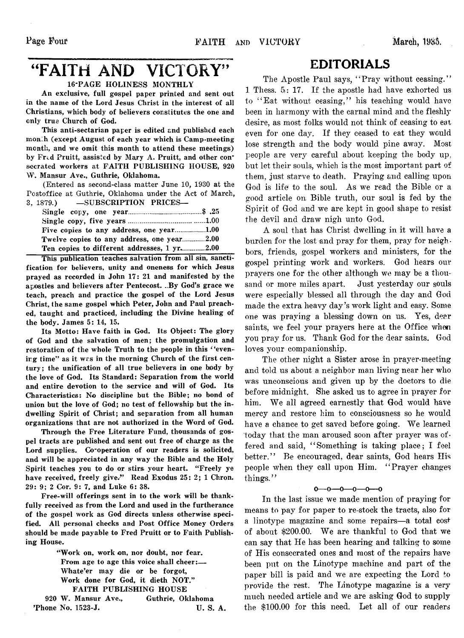# "FAITH AND VICTORY"

# 16-PAGE HOLINESS MONTHLY

An exclusive, full gospel paper printed and sent out in the name of the Lord Jesus Christ in the interest of all Christians, which body of believers constitutes the one and only true Church of God.

This anti-sectarian paper is edited and published each monili (except August of each year which is Camp-meeting month, and we omit this month to attend these meetings) by Fred Pruitt, assisted by Mary A. Pruitt, and other consecrated workers at FAITH PUBLISHING HOUSE, 920 W. Mansur Ave., Guthrie, Oklahoma.

(Entered as second-class matter June 10, 1930 at the Postoffice at Guthrie, Oklahoma under the Act of March, 3, 1879.) —SUBSCRIPTION PRICES—

| Twelve copies to any address, one year2.00  |  |
|---------------------------------------------|--|
| Ten copies to different addresses, 1 yr2.00 |  |

This publication teaches salvation from all sin, sanctification for believers, unity and oneness for which Jesus prayed as recorded in John 17: 21 and manifested by the apostles and believers after Pentecost. ..By God's grace we teach, preach and practice the gospel of the Lord Jesus Christ, the same gospel which Peter, John and Paul preached, taught and practiced, including the Divine healing of the body. James 5: 14, 15.

Its Motto: Have faith in God. Its Object: The glory of God and the salvation of men; the promulgation and restoration of the whole Truth to the people in this *'* 'evenirg time" as it was in the morning Church of the first century; the unification of all true believers in one body by the love of God. Its Standard: Separation from the world and entire devotion to the service and will of God. Its Characteristics: No discipline but the Bible; no bond of union but the love of God; no test of fellowship but the indwelling Spirit of Christ; and separation from all human organizations that are not authorized in the Word of God.

Through the Free Literature Fund, thousands of gospel tracts are published and sent out free of charge as the Lord supplies. Co-operation of our readers is solicited, and will be appreciated in any way the Bible and the Holy Spirit teaches you to do or stirs your heart. "Freely ye have received, freely give." Read Exodus 25: 2; 1 Chron. 29: 9; 2 Cor. 9: 7, and Luke 6: 38.

Free-will offerings sent in to the work will be thankfully received as from the Lord and used in the furtherance of the gospel work as God directs unless otherwise specified. All personal checks and Post Office Money Orders should be made payable to Fred Pruitt or to Faith Publishing House.

"Work on, work on, nor doubt, nor fear. From age to age this voice shall cheer:— Whate'er may die or be forgot, Work done for God, it dieth NOT." FAITH PUBLISHING HOUSE 920 W. Mansur Ave., Guthrie, Oklahoma

# 'Phone No. 1523-J. U. S. A.

# EDITORIALS

The Apostle Paul says, "Pray without ceasing." 1 Thess. 5: 17. If the apostle had have exhorted us to "Eat without ceasing," his teaching would have been in harmony with the carnal mind and the fleshly desire, as most folks would not think of ceasing to eat even for one day. If they ceased to eat they would lose strength and the body would pine away. Most people are very careful about keeping the body up. but let their souls, which is the most important part of them, just starve to death. Praying and calling, upon God is life to the soul. As we read the Bible or a good article on: Bible truth, our soul is fed by the Spirit of God and we are kept in good shape to resist the devil and draw nigh unto God.

A soul that has Christ dwelling, in it will have a burden for the lost and pray for them, pray for neighbors, friends, gospel workers and ministers, for the gospel printing work and workers. God hears our prayers one for the other although we may be a thousand or more miles apart. Just yesterday our souls were especially blessed all through the day and God made the extra heavy day's work light and easy. Some one was praying a blessing down on us. Yes, dear saints, we feel your prayers here at the Office when you pray for us. Thank God for the dear saints. God loves your companionship.

The other night a Sister arose in praver-meeting and told us about a neighbor man living near her who was unconscious and given up by the doctors to die before midnight. She asked us to agree in prayer for him. We all agreed earnestly that God would have mercy and restore him to consciousness so he would have a chance to get saved before going. We learned today that the man aroused soon after prayer was offered and said, " Something is taking place; I feel better." Be encouraged, dear saints, God hears His people when they call upon Him. " Prayer changes things."

# $0 - 0 - 0 - 0 - 0$

In the last issue we made mention of praying for means to pay for paper to re-stock the tracts, also for a linotype magazine and some repairs—a total cost of about \$200.00. We are thankful to God that we can say that He has been hearing and talking to some of His consecrated ones and most of the repairs have been put on the Linotype machine and part of the paper bill is paid and we are expecting the Lord to provide the rest. The Linotype magazine is a very much needed article and we are asking God to supply the \$100.00 for this need. Let all of our readers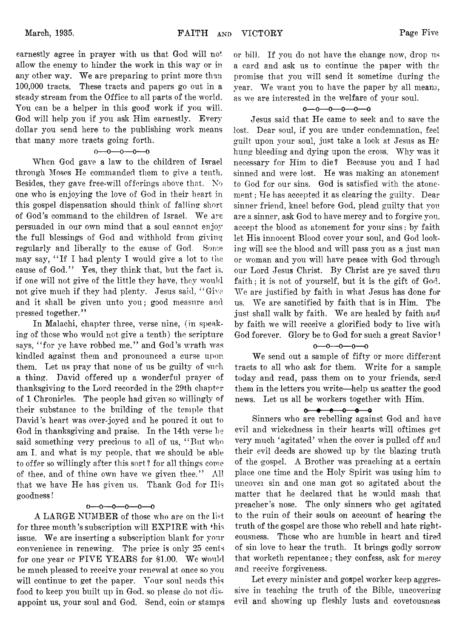earnestly agree in prayer with us that God will not allow the enemy to hinder the work in this way or in any other way. We are preparing to print more than 100,000 tracts. These tracts and papers go out in a steady stream from the Office to all parts of the world. You can be a helper in this good work if you will. God will help you if you ask Him earnestly. Every dollar you send here to the publishing work means that many more tracts going forth.

# $0 - 0 - 0 - 0 - 0$

When God gave a law to the children of Israel through Moses He commanded them to give a tenth. Besides, they gave free-will offerings above that. No one who is enjoying the love of God in their heart in this gospel dispensation should think of falling short of God's command to the children of Israel. We are persuaded in our own mind that a soul cannot enjoy the full blessings of God and withhold from giving regularly and liberally to the cause of God. Some may say, " If I had plenty I would give a lot to the cause of God." Yes, they think that, but the fact is, if one will not give of the little they have, they would not give much if they had plenty. Jesus said, " Give and it shall be given unto you; good measure and pressed together."

In Malachi, chapter three, verse nine, (in speaking of those who would not give a tenth) the scripture says, "for ye have robbed me," and God's wrath was kindled against them and pronounced a curse upon them. Let us pray that none of us be guilty of such a thing. David offered up a wonderful prayer of thanksgiving to the Lord recorded in the 29th chapter of 1 Chronicles. The people had given so willingly of their substance to the building of the temple that. David's heart was over-joyed and he poured it out to God in thanksgiving and praise. In the 14th verse he said something very precious to all of us, "But who am I, and what is my people, that we should be able to offer so willingly after this sort ? for all things come of thee, and of thine own have we given thee." All that we have He has given us. Thank God for Ilis goodness!

# $0 - 0 - 0 - 0 - 0 - 0$

A LARGE NUMBER of those who are on the list for three month's subscription will EXPIRE with fhis issue. We are inserting a subscription blank for your convenience in renewing. The price is only 25 cents for one year or FIVE YEARS for \$1.00. We would be much pleased to receive your renewal at once so you will continue to get the paper. Your soul needs this food to keep you built up in God. so please do not disappoint us, your soul and God. Send, coin or stamps or bill. If you do not have the change now, drop us a card and ask us to continue the paper with the promise that you will send it sometime during the year. We want you to have the paper by all means, as we are interested in the welfare of your soul.

# $0 - 0 - 0 - 0 - 0 - 0$

Jesus said that He came to seek and to save the lost. Dear soul, if you are under condemnation, feel guilt upon your soul, just take a look at Jesus as He hung bleeding and dying upon the cross. Why was it necessary for Him to die? Because you and I had sinned and were lost. He was making an atonement to God for our sins. God is satisfied with the atonement ; He has accepted it as clearing the guilty. Dear sinner friend, kneel before God, plead guilty that you are a sinner, ask God to have mercy and to forgive you. accept the blood as atonement for your sins; by faith let His innocent Blood cover your soul, and God looking will see the blood and will pass you as a just man or woman and you will have peace with God through our Lord Jesus Christ. By Christ are ye saved thru faith; it is not of yourself, but it is the gift of God. We are justified by faith in what Jesus has done for us. We are sanctified by faith that is in Him. The just shall walk by faith. We are healed by faith and by faith we will receive a glorified body to live with God forever. Glory be to God for such a great Savior!

#### $0 - 0 - 0 - 0 - 0$

We send out a sample of fifty or more different tracts to all who ask for them. Write for a sample today and read, pass them on to your friends, send them in the letters you write—help us scatter the good news. Let us all be workers together with Him.

### $0 - 0 - 0 - 0 - 0$

Sinners who are rebelling against God and have evil and wickedness in their hearts will oftimes get very much 'agitated' when the cover is pulled off and their evil deeds are showed up by the blazing truth of the gospel. A Brother was preaching at a certain place one time and the Holy Spirit was using him to uncovei sin and one man got so agitated about the matter that he declared that he would mash that preacher's nose. The only sinners who get agitated to the ruin of their souls on account of hearing the truth of the gospel are those who rebell and hate righteousness. Those who are humble in heart and tired of sin love to hear the truth. It brings godly sorrow that worketh repentance; they confess, ask for mercy and receive forgiveness.

Let every minister and gospel worker keep aggressive in teaching the truth of the Bible, uncovering evil and showing up fleshly lusts and covetousness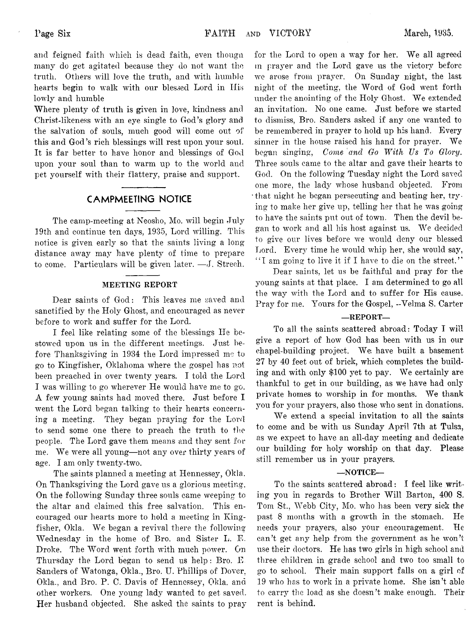and feigned faith which is dead faith, even thongn many do get agitated because they do not want the truth. Others will love the truth, and with humble hearts begin to walk with our blessed Lord in Ilis lowly and humble

Where plenty of truth is given in love, kindness and Christ-likeness with an eye single to God's glory and the salvation of souls, much good will come out of this and God's rich blessings will rest upon your soul. It is far better to have honor and blessings of God upon your soul than to warm up to the world and pet yourself with their flattery, praise and support.

# **CAMPMEETING NOTICE**

The camp-meeting at Neosho, Mo. will begin July 19th and continue ten days, 1935, Lord willing. This notice is given early so that the saints living a long distance away may have plenty of time to prepare to come. Particulars will be given later. — J. Strech.

# MEETING REPORT

Dear saints of God: This leaves me saved and sanctified by the Holy Ghost, and encouraged as never before to work and suffer for the Lord.

I feel like relating some of the blessings He bestowed upon us in the different meetings. Just before Thanksgiving in 1934 the Lord impressed me to go to Kingfisher, Oklahoma where the gospel has not been preached in over twenty years. I told the Lord I was willing to go wherever He would have me to go. A few young saints had moved there. Just before I went the Lord began talking to their hearts concerning a meeting. They began praying for the Lord to send some one there to preach the truth to the people. The Lord gave them means and they sent for me. We were all young—not any over thirty years of age. I am only twenty-two.

The saints planned a meeting at Hennessey, Okla. On Thanksgiving the Lord gave us a glorious meeting. On the following Sunday three souls came weeping to the altar and claimed this free salvation. This encouraged our hearts more to hold a meeting in Kingfisher, Okla. We began a revival there the following Wednesday in the home of Bro. and Sister L. E. Droke. The Word went forth with much power. On Thursday the Lord began to send us help: Bro. E Sanders of Watonga, Okla., Bro. U. Phillips of Dover. Okla., and Bro. P. C. Davis of Hennessey, Okla. and other workers. One young lady wanted to get saved. Her husband objected. She asked the saints to pray

for the Lord to open a way for her. We all agreed m prayer and the Lord gave us the victory before we arose from prayer. On Sunday night, the last night of the meeting, the Word of God went forth under the anointing of the Holy Ghost. We extended an invitation. No one came. Just before we started to dismiss, Bro. Sanders asked if any one wanted to be remembered in prayer to hold up his hand. Every sinner in the house raised his hand for prayer. We began singing, *Come and Go With Us To Glory.* Three souls came to the altar and gave their hearts to God. On the following Tuesday night the Lord saved one more, the lady whose husband objected. From that night he began persecuting and beating her, trying to make her give up, telling her that he was going to have the saints put out of town. Then the devil began to work and all his host against us. We decided to give our lives before we would deny our blessed Lord. Every time he would whip her, she would say, *" I* am going to live it if I have to die on the street.' '

Dear saints, let us be faithful and pray for the young saints at that place. I am determined to go all the way with the Lord and to suffer for His cause. Pray for me. Yours for the Gospel, -Velma S. Carter

# —REPORT—

To all the saints scattered abroad: Today I will give a report of how God has been with us in our chapel-building project. We; have built a basement 27 by 40 feet out of brick, which completes the building and with only \$100 yet to pay. We certainly are thankful to get in our building, as we have had only private homes to worship in for months. We thank you for your prayers, also those who sent in donations.

We extend a special invitation to all the saints to come and be with us Sunday April 7th at Tulsa, as we expect to have an all-day meeting and dedicate our building for holy worship on that day. Please still remember us in your prayers.

#### —NOTICE—

To the saints scattered abroad: I feel like writing you in regards to Brother Will Barton, 400 S. Tom St., Webb City, Mo. who has been very sick the past 8 months with a growth in the stomach. He needs your prayers, also your encouragement. He can't get any help from the government as he won't use their doctors. He has two girls in high school and three children in grade school and two too small to go to school. Their main support falls on a girl of 19 who has to work in a private home. She isn't able to carry the load as she doesn't make enough. Their rent is behind.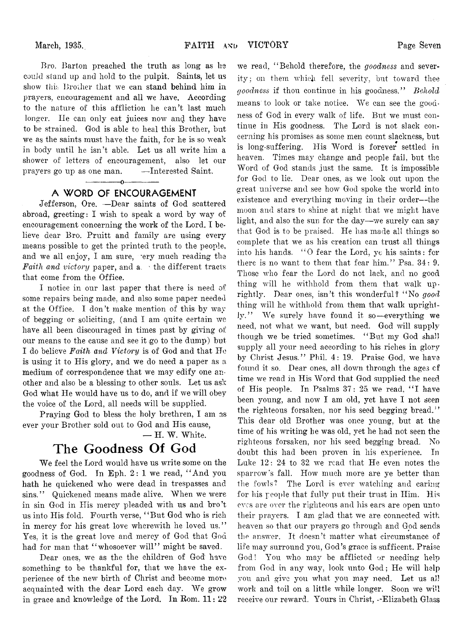Bro. Barton preached the truth as long as he couJd stand up and hold to the pulpit. Saints, let us show this Brother that we can stand behind him in prayers, encouragement and all we have. According to the nature of this affliction he can't last much longer. He can only eat juices now and they have to be strained. God is able to heal this Brother, but we as the saints must have the faith, for he is so weak in body until he isn't able. Let us all write him a shower of letters of encouragement, also let our prayers go up as one man. — Interested Saint.

# ------------- o------------- **A WORD OF ENCOURAGEMENT**

Jefferson, Ore. —Dear saints of God scattered abroad, greeting: I wish to speak a word by way of encouragement concerning the work of the Lord. I believe dear Bro. Pruitt and family are using every means possible to get the printed truth to the people, and we all enjoy, I am sure, rery much reading the *Faith and victory* paper, and a. ' the different tracts that come from the Office.

I notice in our last paper that there is need of some repairs being made, and also some paper needed at the Office. I don't make mention of this by way of begging, or soliciting, (and I am quite certain we have all been discouraged in times past by giving of our means to the cause and see it go to the dump) but I do believe *Faith and Victory* is of God and that He is using it to His glory, and we do need a paper as a medium of correspondence that we may edify one another and also be a blessing to other souls. Let us ask God what He would have us to do, and if we will obey the voice of the Lord, all needs will be supplied.

Praying God to bless the holy brethren, I am as ever your Brother sold out to God and His cause,

# **The Goodness Of God**

We feel the Lord would have us write some on the goodness of God. In Eph. 2: 1 we read, " And you hath he quickened who were dead in trespasses and sins." Quickened means made alive. When we were in sin God in His mercy pleaded with us and bro't us into His fold, Fourth verse, " But God who is rich in mercy for his great love wherewith he loved us." Yes, it is the great love and mercy of God that God had for man that "whosoever will" might be saved.

Dear ones, we as the the children of God have something to be thankful for, that we have the experience of the new birth of Christ and become moreacquainted with the dear Lord each day. We grow in grace and knowledge of the Lord. In Rom. 11: 22

we read, " Behold therefore, the *goodness* and severity ; on them which fell severity, but toward thee *goodness* if thou continue in his goodness." *Behold* means to look or take notice. We can see the goodness of God in every walk of life. But we must continue in His goodness. The Lord is not slack concerning his promises as some men count slackness, but is long-suffering. His Word is forever settled in heaven. Times may change and people fail, but the Word of God stands just the same. It is impossible for God to lie. Dear ones, as we look out upon the great universe and see how God spoke the world into existence and everything moving in their order--the moon and stars to shine at night that we might have light, and also the sun for the day— we surely can say that God is to be praised. He has made all things so complete that we as his creation can trust all things into his hands. "O fear the Lord, ye his saints: for there is no want to them that fear him." Psa. 34: 9. Those who fear the Lord do not lack, and no good thing will he withhold from them that walk uprightly. Dear ones, isn't this wonderful? " No *good* thing will he withhold from them that walk uprightly." We surely have found it so—everything we need, not what we want, but need. God will supply though we be tried sometimes. " But my God shall supply all your need according to his riches in glory by Christ Jesus." Phil. 4: 19. Praise God, we have found it so. Dear ones, all down through the ages cf time we read in His Word that God supplied the need of His people. In Psalms  $37:25$  we read, "I have been young, and now I am old, yet have I not seen the righteous forsaken, nor his seed begging bread." This dear old Brother was once young, but at the time of his writing he was old, yet he had not seen the righteous forsaken, nor his seed begging bread. No doubt this had been proven in his experience. In Luke 12: 24 to 32, we read that He even notes the sparrow's fall. How much more are ye better than the fowls? The Lord is ever watching and caring for his people that fully put their trust in Him. His eves are over the righteous and his ears are open unto their prayers. I am glad that we are connected with heaven so that our prayers go through and God sends the answer. It doesn't matter what circumstance of life may surround you, God's grace is sufficent. Praise God! You who may be afflicted or needing help from God in any way, look unto God; He will help you and give you what you may need. Let us all work and toil on a little while longer. Soon we will receive our reward. Yours in Christ, --Elizabeth Glass

<sup>—</sup> H. W. White.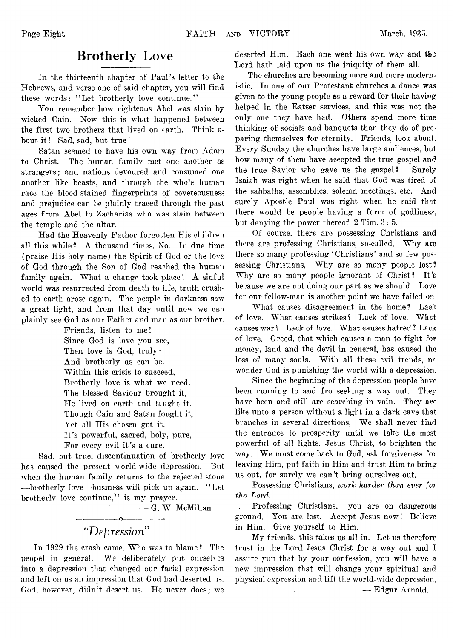# **Brotherly Love**

In the thirteenth chapter of Paul's letter to the Hebrews, and verse one of said chapter, you will find these words: "Let brotherly love continue."

You remember how righteous Abel was slain by wicked Cain. Now this is what happened between the first two brothers that lived on earth. Think about it! Sad, sad, but true!

Satan seemed to have his own way from Adam to Christ. The human family met one another as strangers; and nations devoured and consumed one another like beasts, and through the whole human race the blood-stained fingerprints of coveteousness and prejudice can be plainly traced through the past ages from Abel to Zacharias who was slain between the temple and the altar.

Had the Heavenly Father forgotten His children all this while? A thousand times, No. In due time (praise His holy name) the Spirit of God or the love of God through the Son of God reached the human family again. What a change took place! A sinful world was resurrected from death to life, truth crush ed to earth arose again. The people in darkness saw a great light, and from that day until now we can plainly see God as our Father and man as our brother.

Friends, listen to me! Since God is love you see, Then love is God, truly: And brotherly as can be. Within this crisis to succeed, Brotherly love is what we need. The blessed Saviour brought it, He lived on earth and taught it. Though Cain and Satan fought it, Yet all His chosen got it. It's powerful, sacred, holy, pure, For every evil it's a cure.

Sad, but true, discontinuation of brotherly love has caused the present world-wide depression. But when the human family returns to the rejected stone —brotherly love—business wall pick up again. " Let brotherly love continue," is my prayer.

— G. W. McMillan

# "*Depression"*

---------------- o-----------------

In 1929 the crash came. Who was to blame ? The peopel in general. We deliberately put ourselves into a depression that changed our facial expression and left on us an impression that God had deserted us. God, however, didn't desert us. He never does; we deserted Him. Each one went his own way and the Lord hath laid upon us the iniquity of them all.

The churches are becoming more and more modernistic. In one of our Protestant churches a dance was given to the young people as a reward for their having helped in the Eatser services, and this was not the only one they have had. Others spend more time thinking of socials and banquets than they do of preparing themselves for eternity. Friends, look about. Every Sunday the churches have large audiences, but how many of them have acecpted the true gospel and the true Savior who gave us the gospel? Surely Isaiah was right when he said that God was tired of the sabbaths, assemblies, solemn meetings, etc. And surely Apostle Paul was right when he said that there would be people having a form of godliness, but denying the power thereof. 2 Tim. 3: 5.

Of course, there are possessing Christians and there are professing Christians, so-called. Why are there so many professing 'Christians' and so few possessing Christians, Why are so many people lost? Why are so many people ignorant of Christ? It's because we are not doing our part as we should. Love for our fellow-man is another point we have failed on

What causes disagreement in the home? Lack of love. What causes strikes? Lack of love. What causes war ? Lack of love. What causes hatred ? Lack of love. Greed, that which causes a man to fight for money, land and the devil in general, has caused the loss of many souls. With all these evil trends, no wonder God is punishing the world with a depression.

Since the beginning of the depression people have been running to and fro seeking a way out. They have been and still are searching in vain. They are like unto a person without a light in a dark cave that branches in several directions, We shall never find the entrance to prosperity until we take the most powerful of all lights, Jesus Christ, to brighten the way. We must come back to God, ask forgiveness for leaving Him, put faith in Him and trust Him to bring us out, for surely we can't bring ourselves out.

Possessing Christians, *work harder than ever for the Lord,*

Professing Christians, you are on dangerous ground. You are lost. Accept Jesus now! Believe in Him. Give yourself to Him.

My friends, this takes us all in. Let us therefore trust in the Lord Jesus Christ for a way out and I assure you that by your confession, you will have a new impression that will change your spiritual and physical expression and lift the world-wide depression.

— Edgar Arnold.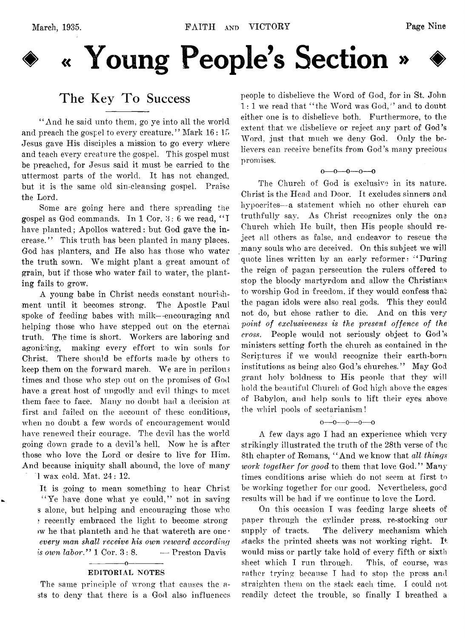

# **♦ « Young People's Section »**

# **The Key To Success**

" And he said unto them, go ye into all the world and preach the gospel to every creature." Mark 16:15 Jesus gave His disciples a mission to go every where and teach every creature the gospel. This gospel must be preached, for Jesus said it must be carried to the uttermost parts of the world. It has not changed, but it is the same old sin-cleansing gospel. Praise the Lord.

Some are going here and there spreading the gospel as God commands. In  $1 \text{ Cor. } 3: 6$  we read, "I have planted; Apollos watered: but God gave the increase." This truth has been planted in many places. God has planters, and He also has those who water the truth sown. We might plant a great amount of grain, but if those who water fail to water, the planting fails to grow.

A young babe in Christ needs constant nourishment until it becomes strong. The Apostle Paul spoke of feeding babes with milk— encouraging and helping those who have stepped out on the eternal truth. The time is short. Workers are laboring and agonising, making every effort to win souls for Christ. There should be efforts made by others to keep them on the forward march. We are in perilous times and those who step out on the promises of God have a great host of ungodly and evil things to meet them face to face. Many no doubt had a decision at first and failed on the account of these conditions, when no doubt a few words of encouragement would have renewed their courage. The devil has the world going down grade to a devil's hell. Now he is after those who love the Lord or desire to live for Him. And because iniquity shall abound, the love of many 1 wax cold. Mat. 24: 12.

It is going to mean something to hear Christ "Ye have done what ye could," not in saving s alone, but helping and encouraging those who ? recently embraced the light to become strong >w he that planteth and he that watereth are one • *every man shall receive his own reward according is own labor.*" 1 Cor. 3:8. — Preston Davis

#### $-0-$ EDITORIAL NOTES

The same principle of wrong that causes the asts to deny that there is a God also influences people to disbelieve the Word of God, for in St. John 1: 1 we read that " the Word was God," and to doubt either one is to disbelieve both. Furthermore, to the extent that we disbelieve or reject any part of God's Word, just that much we deny God. Only the believers can receive benefits from God's many precious promises.

 $0-0-0-0-0$ 

The Church of God is exclusive in its nature. Christ is the Head and Door. It excludes sinners and hypocrites— a statement which no other church car truthfully say. As Christ recognizes only the one Church which He built, then His people should reject all others as false, and endeavor to rescue the many souls who are deceived. On this subject we will quote lines written by an early reformer: " During the reign of pagan persecution the rulers offered to stop the bloody martyrdom and allow the Christians to worship God in freedom, if they would confess that the pagan idols were also real gods. This they could not do, but chose rather to die. And on this very *point of exclusiveness is the present offence of the cross.* People would not seriously object to God's ministers setting forth the church as contained in the Scriptures if we would recognize their earth-born institutions as being also God's churches." May God grant holy boldness to His people that they will hold the beautiful Church of God high above the cages of Babylon, and help souls to lift their eyes above the whirl pools of sectarianism!

 $0 \rightarrow 0 \rightarrow 0 \rightarrow 0$ 

A few days ago I had an experience which very strikingly illustrated the truth of the 28th verse of the 8th chapter of Romans, "And we know that *all things work together for good* to them that love God." Many times conditions arise which do not seem at first to be working together for our good. Nevertheless, good results will be had if we continue to love the Lord.

On this occasion I was feeding large sheets of paper through the cylinder press, re-stocking our supply of tracts. The delivery mechanism which stacks the printed sheets was not working right. It would miss or partly take hold of every fifth or sixth sheet which I run through. This, of course, was rather trying because I had to stop the press and straighten them on the stack each time. I could not readily detect the trouble, so finally I breathed a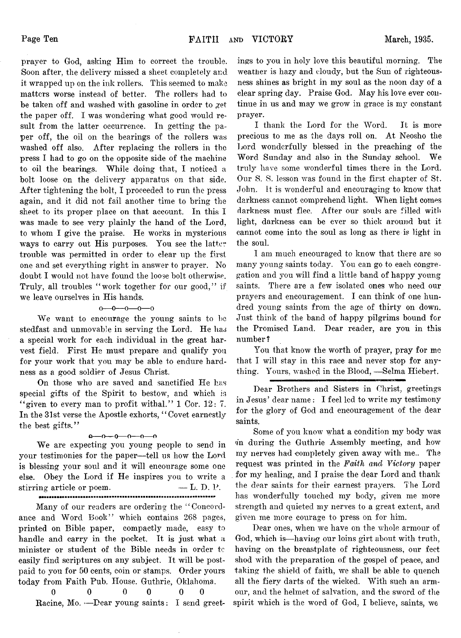prayer to God, asking Him to correct the trouble. Soon after, the delivery missed a sheet completely and it wrapped up on the ink rollers. This seemed to make matters worse instead of better. The rollers had to be taken off and washed with gasoline in order to get the paper off. I was wondering what good would result from the latter occurrence. In getting the paper off, the oil on the bearings of the rollers was washed off also. After replacing the rollers in the press I had to go on the opposite side of the machine to oil the bearings. While doing that, I noticed a bolt loose on the delivery apparatus on that side. After tightening the bolt, I proceeded to run the press again, and it did not fail another time to bring the sheet to its proper place on that account. In this I was made to see very plainly the hand of the Lord, to whom I give the praise. He works in mysterious ways to carry out His purposes. You see the latter trouble was permitted in order to clear up the first one and set everything right in answer to prayer. No doubt I would not have found the loose bolt otherwise. Truly, all troubles "work together for our good," if we leave ourselves in His hands.

# $0 - 0 - 0 - 0 - 0$

We want to encourage the young saints to be stedfast and unmovable in serving the Lord. He has a special work for each individual in the great harvest field. First He must prepare and qualify you for your work that you may be able to endure hardness as a good soldier of Jesus Christ.

On those who are saved and sanctified He has special gifts of the Spirit to bestow, and which is " given to every man to profit withal."  $1 \text{ Cor. } 12: 7$ . In the 31st verse the Apostle exhorts, " Covet earnestly the best gifts."

#### *Q*-----o -----O-----O-----O-----O

We are expecting you young people to send in your testimonies for the paper-—tell us how the Lord is blessing your soul and it will encourage some one else. Obey the Lord if He inspires you to write a stirring article or poem.  $\qquad \qquad \qquad \text{L. D. P.}$ 

Many of our readers are ordering the "Concordance and Word Book" which contains 268 pages, printed on Bible paper, compactly made, easy to handle and carry in the pocket. It is just what a minister or student of the Bible needs in order tc easily find scriptures on any subject. It will be postpaid to you for 50 cents, coin or stamps. Order yours today from Faith Pub. House. Guthrie, Oklahoma.

**0 0 0 0 0 0** Racine, Mo.  $-\text{Pear young saints}: I send greet-$  ings to you in holy love this beautiful morning. The weather is hazy and cloudy, but the Sun of righteousness shines as bright in my soul as the noon day of a clear spring day. Praise God. May his love ever continue in us and may we grow in grace is my constant prayer.

I thank the Lord for the Word. It is more precious to me as the days roll on. At Neosho the Lord wonderfully blessed in the preaching of the Word Sunday and also in the Sunday school. We truly have some wonderful times there in the Lord. Our S. S. lesson was found in the first chapter of St. John. It is wonderful and encouraging to know that darkness cannot comprehend light. When light comes darkness must flee. After our souls are filled with light, darkness can be ever so thick around but it cannot come into the soul as long as there is light in the soul.

I am much encouraged to know that there are so many young saints today. You can go to each congregation and you will find a little band of happy young saints. There are a few isolated ones who need our prayers and encouragement. I can think of one hundred young saints from the age of thirty on down. Just think of the band of happy pilgrims bound for the Promised Land. Dear reader, are you in this number ?

You that know the worth of prayer, pray for me that I will stay in this race and never stop for anything. Yours, washed in the Blood, — Selma Hiebert.

Dear Brothers and Sisters in Christ, greetings in Jesus' dear name : I feel led to write my testimony for the glory of God and encouragement of the dear saints.

Some of you know what a condition my body was 'in during the Guthrie Assembly meeting, and how my nerves had completely given away with me.. The request was printed in the *Faith and Victory* paper for my healing, and I praise the dear Lord and thank the dear saints for their earnest prayers. The Lord has wonderfully touched my body, given me more strength and quieted my nerves to a great extent, and given me more courage to press on for him,.

Dear ones, when we have on the whole armour of God, which is— having our loins girt about with truth, having on the breastplate of righteousness, our feet shod with the preparation of the gospel of peace, and taking the shield of faith, we shall be able to quench all the fiery darts of the wicked. With such an armour, and the helmet of salvation, and the sword of the spirit which is the word of God, I believe, saints, we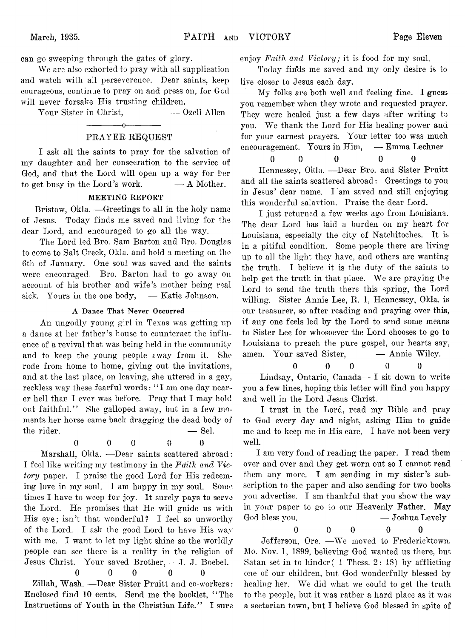can go sweeping through the gates of glory.

We are also exhorted to pray with all supplication and watch with all perseverence. Dear saints, keep courageous, continue to pray on and press on, for God will never forsake His trusting children.

Your Sister in Christ, —— Ozell Allen

$$
\overbrace{\hspace{2.5cm}}^{}
$$

# PRAYER REQUEST

I ask all the saints to pray for the salvation of my daughter and her consecration to the service of God, and that the Lord will open up a way for her to get busy in the Lord's work.  $-\mathbf{A}$  Mother.

# MEETING REPORT

Bristow, Okla. — Greetings to all in the holy name of Jesus. Today finds me saved and living for the dear Lord, and encouraged to go all the way.

The Lord led Bro. Sam Barton and Bro. Douglas to come to Salt Creek, Okla. and hold a meeting on the 6th of January. One soul was saved and the saints were encouraged. Bro. Barton had to go away on account of his brother and wife's mother being real sick. Yours in the one body, — Katie Johnson.

# A Dance That Never Occurred

An ungodly young girl in Texas was getting, up a dance at her father's house to counteract the influence of a revival that was being held in the community and to keep the young people away from it. She rode from home to home, giving out the invitations, and at the last place, on leaving, she uttered in a gay, reckless way these fearful words: " I am one day nearer hell than I ever was before. Pray that I may hold out faithful." She galloped away, but in a few moments her horse came back dragging the dead body of  $\begin{aligned}\n\text{the rider.} \quad -\text{Sel.}\n\end{aligned}$ 

$$
\qquad \qquad 0
$$

$$
f_{\rm{max}}
$$

 $0 \qquad 0 \qquad 0 \qquad 0 \qquad 0$ 

Marshall, Okla. - Dear saints scattered abroad: I feel like writing my testimony in the *Faith and Victory* paper. I praise the good Lord for His redeeming love in my soul. I am happy in my soul. Some times I have to weep for joy. It surely pays to serve the Lord. He promises that He will guide us with His eye; isn't that wonderful? I feel so unworthy of the Lord. I ask the good Lord to have His way with me. I want to let my light shine so the worldly people can see there is a reality in the religion of Jesus Christ. Your saved Brother, .—J. J. Boebel.

 $0 \qquad 0 \qquad 0 \qquad 0$ 

Zillah, Wash. — Dear Sister Pruitt and co-workers: Enclosed find 10 cents. Send me the booklet, " The Instructions of Youth in the Christian Life." I sure

enjoy *Faith and Victory*; it is food for my soul.

Today fiifds me saved and my only desire is to live closer to Jesus each day.

My folks are both well and feeling fine. I guess you remember when they wrote and requested prayer. They were healed just a few days after writing to you. We thank the Lord for His healing power and for your earnest prayers. Your letter too was much encouragement. Yours in Him, — Emma Lechner

$$
0 \qquad 0 \qquad 0 \qquad 0 \qquad 0
$$

Hennessey, Okla. — Dear Bro. and Sister Pruitt and all the saints scattered abroad: Greetings to you in Jesus' dear name. I'am saved and still enjoying this wonderful salavtion. Praise the dear Lord.

I just returned a few weeks ago from Louisiana. The dear Lord has laid a burden on my heart for Louisiana, especially the city of Natchitoches. It is in a pitiful condition. Some people there are living up to all the light they have, and others are wanting the truth. I believe it is the duty of the saints to help get the truth in that place. We are praying the Lord to send the truth there this spring, the Lord willing. Sister Annie Lee, R. 1, Hennessey, Okla. is our treasurer, so after reading and praying, over this, if any one feels led by the Lord to send some means to Sister Lee for whosoever the Lord chooses to go to Louisiana to preach the pure gospel, our hearts say, amen. Your saved Sister, — Annie Wiley.

$$
0 \qquad \qquad 0 \qquad \qquad 0 \qquad \qquad 0
$$

Lindsay, Ontario, Canada— I sit down to write you a few lines, hoping this letter will find you happy and well in the Lord Jesus Christ.

I trust in the Lord, read my Bible and pray to God every day and night, asking Him to guide me and to keep me in His care. I have not been very well.

I am very fond of reading the paper. I read them over and over and they get worn out so I cannot read them any more. I am sending in my sister's subscription to the paper and also sending for two books you advertise. I am thankful that you show the way in your paper to go to our Heavenly Father. May God bless you. — Joshua Levely

0 0 0 0 0

Jefferson, Ore. —We moved to Fredericktown, Mo. Nov. 1, 1899, believing God wanted us there, but Satan set in to hinder( 1 Thess. 2: 18) by afflicting one of our children, but God wonderfully blessed by healing her. We did what we could to get the truth to the people, but it was rather a hard place as it was a sectarian town, but I believe God blessed in spite of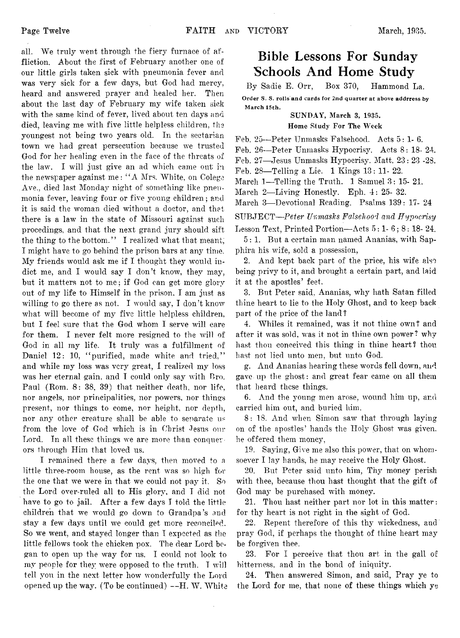all. We truly went through the fiery furnace of affliction. About the first of February another one of our little girls taken sick with pneumonia fever and was very sick for a few days, but God had mercy, heard and answered prayer and healed her. Then about the last day of February my wife taken sick with the same kind of fever, lived about ten days and died, leaving me with five little helpless children, the youngest not being two years old. In the sectarian town we had great persecution because we trusted God for her healing even in the face of the threats of the law. I will just give an ad which came out in the newspaper against me: "A Mrs. White, on Colege Ave., died last Monday night of something like pneumonia fever, leaving four or five young children; and it is said the woman died without a doctor, and that there is a law in the state of Missouri against such procedings, and that the next grand jury should sift the thing to the bottom." I realized what that meant, I might have to go behind the prison bars at any time. My friends would ask me if I thought they would indict me, and I would say I don't know, they may, but it matters not to me; if God can get more glory out of my life to Himself in the prison, I am just as willing to go there as not. I would say, I don't know what will become of my five little helpless children, but I feel sure that the God whom 1 serve will care for them. I never felt more resigned to the will of God in all my life. It truly was a fulfillment of Daniel 12: 10, "purified, made white and tried," and while my loss was very great, I realized my loss was her eternal gain, and I could only say with Bro. Paul (Rom. 8: 38, 39) that neither death, nor life, nor angels, nor principalities, nor powers, nor things present, nor things to come, nor height, nor depth, nor any other creature shall be able to separate us from the love of God which is in Christ Jesus our Lord. In all these things we are more than conquerors through Him that loved us.

I remained there a few days, then moved to a little three-room house, as the rent was so high for the one that we were in that we could not pay it. So the Lord over-ruled all to His glory, and I did not have to go to jail. After a few days I told the little children that we would go down to Grandpa's and stay a few days until we could get more reconciled. So we went, and stayed longer than I expected as the little fellows took the chicken pox. The dear Lord began to open up the way for us. I could not look to my people for they were opposed to the truth. T will tell you in the next letter how wonderfully the Lord opened up the way. (To be continued)  $-AH$ . W. White

# **Bible Lessons For Sunday Schools And Home Study**

By Sadie E. Orr, Box 370, Hammond La. Order S. S. rolls and cards for 2nd quarter at above addrress by March 15th.

# SUNDAY, March 3, 1935. Home Study For The Week

Feb. 25–Peter Unmasks Falsehood. Acts 5: 1-6.

Feb. 26—Peter Unmasks Hypocrisy. Acts 8: 18- 24.

Feb. 27— Jesus Unmasks Hypocrisy. Matt. 23: 23 -23.

Feb. 28— Telling a Lie. 1 Kings 13: 11- 22.

March 1—Telling the Truth. 1 Samuel 3: 15- 21.

March 2—Living Honestly. Eph.  $4:25-32$ .

March 3— Devotional Reading. Psalms 139: 17- 24

SUBJECT—*Peter Unmasks Falsehood and Hypocrisy* Lesson Text, Printed Portion—Acts  $5:1-6$ ;  $8:18-24$ .

5: 1. But a certain man named Ananias, with Sapphira his wife, sold a possession,

2. And kept back part of the price, his wife also being privy to it, and brought a certain part, and laid it at the apostles' feet.

3. But Peter said, Ananias, why hath Satan filled thine heart to lie to the Holy Ghost, and to keep back part of the price of the land ?

4. Whiles it remained, was it not thine own? and after it was sold, was it not in thine own power? why hast thou conceived this thing in thine heart? thou hast not lied unto men, but unto God.

g. And Ananias hearing these words fell down, and gave up the ghost: and great fear came on all them that heard these things.

6. And the young men arose, wound him up, and carried him out, and buried him.

8: 18. And when Simon saw that through laying on of the apostles' hands the Holy Ghost was given, he offered them money,

19. Saying, Give me also this power, that on whomsoever I lay hands, he may receive the Holy Ghost.

20. But Peter said unto him, Thy money perish with thee, because thou hast thought that the gift of God may be purchased with money.

21. Thou hast neither part nor lot in this matter: for thy heart is not right in the sight of God.

22. Repent therefore of this thy wickedness, and pray God, if perhaps the thought of thine heart may be forgiven thee.

23. For I perceive that thou art in the gall of bitterness, and in the bond of iniquity.

24. Then answered Simon, and said, Pray ye to the Lord for me, that none of these things which ye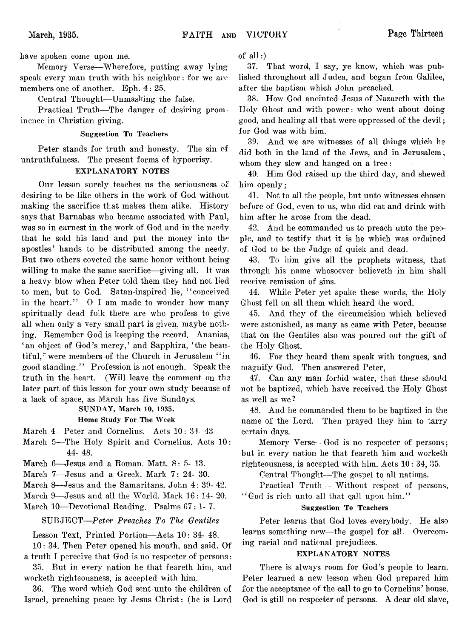have spoken come upon me.

Memory Verse— Wherefore, putting away lying speak every man truth with his neighbor: for we are members one of another. Eph. 4: 25.

Central Thought— Unmasking the false.

Practical Truth—The danger of desiring prominence in Christian giving.

#### Suggestion To Teachers

Peter stands for truth and honesty. The sin of untruthfulness. The present forms of hypocrisy.

# EXPLANATORY NOTES

Our lesson surely teaches us the seriousness  $o^e$ . desiring to be like others in the work of God without making the sacrifice that makes them alike. History says that Barnabas who became associated with Paul, was so in earnest in the work of God and in the needy that he sold his land and put the money into the apostles' hands to be distributed among the needy. But two others coveted the same honor without being willing to make the same sacrifice—giving all. It was a heavy blow when Peter told them they had not lied to men, but to God. Satan-inspired lie, "conceived in the heart." O I am made to wonder how many spiritually dead folk there are who profess to give all when only a very small part is given, maybe nothing. Remember God is keeping the record. Ananias, 'an object of God's mercy,' and Sapphira, 'the beautiful," were members of the Church in Jerusalem "in good standing." Profession is not enough. Speak the truth in the heart. (Will leave the comment on the later part of this lesson for your own study because of a lack of space, as March has five Sundays.

# SUNDAY, March 10, 1935.

# Home Study For The Week

March 4—Peter and Cornelius. Acts 10: 34- 43

March 5-The Holy Spirit and Cornelius. Acts 10: 44- 48.

March 6—Jesus and a Roman. Matt. 8: 5- 13.

March 7— Jesus and a Greek. Mark 7: 24- 30.

March 8—Jesus and the Samaritans. John 4: 39- 42.

March 9— Jesus and all the World. Mark 16: 14- 20.

March 10— Devotional Reading. Psalms 67: 1- 7.

# SUBJECT—*Peter Preaches To The Gentiles*

Lesson Text, Printed Portion—Acts 10: 34- 48.

10: 34. Then Peter opened his mouth, and said, Of a truth I perceive that God is no respecter of persons:

35. But in every nation he that feareth him, and worketh righteousness, is accepted with him.

36. The word which God sent-unto the children of Israel, preaching peace by Jesus Christ: (he is Lord

of all:)

37. That word, I say, ye know, which was published throughout all Judea, and began from Galilee, after the baptism which John preached.

38. How God anointed Jesus of Nazareth with the Holy Ghost and with power: who went about doing good, and healing all that were oppressed of the devil; for God was with him.

39. And we are witnesses of all things which he did both in the land of the Jews, and in Jerusalem; whom they slew and hanged on a tree:

40. Him God raised up the third day, and shewed him openly;

41. Not to all the people, but unto witnesses chosen before of God, even to us, who did eat and drink with him after he arose from the dead.

42. And he commanded us to preach unto the people, and to testify that it is he which was ordained of God to be the Judge of quick and dead.

43. To him give all the prophets witness, that through his name whosoever believeth in him shall receive remission of sins.

44. While Peter yet spake these words, the Holy Ghost fell on all them which heard the word.

45. And they of the circumcision which believed were astonished, as many as came with Peter, because that on the Gentiles also was poured out the gift of the Holy Ghost.

46. For they heard them speak with tongues, and magnify God. Then answered Peter,

47. Can any man forbid water, that these should not be baptized, which have received the Holy Ghost as well as we?

48. And he commanded them to be baptized in the name of the Lord. Then prayed they him to tarry certain days.

Memory Verse— God is no respecter of persons; but in every nation he that feareth him and worketh righteousness, is accepted with him. Acts 10: 34, 35.

Central Thought—The gospel to all nations.

Practical Truth— Without respect of persons, "God is rich unto all that call upon him."

# Suggestion To Teachers

Peter learns that God loves everybody. He also learns something new—the gospel for all. Overcoming racial and national prejudices.

## EXPLANATORY NOTES

There is always room for God's people to learn. Peter learned a new lesson when God prepared him for the acceptance of the call to go to Cornelius' house. God is still no respecter of persons. A dear old slave,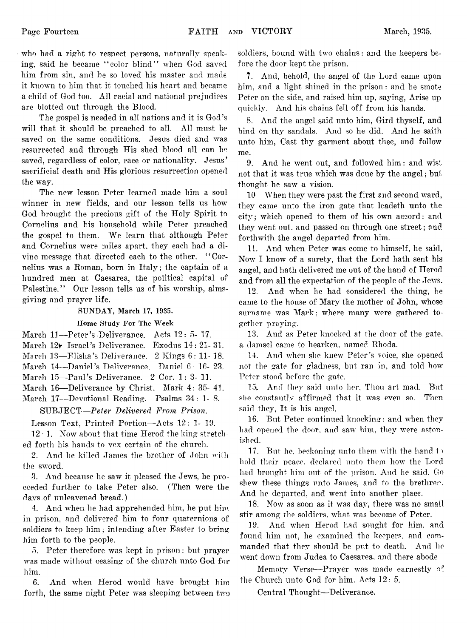who had a right to respect persons, naturally speaking, said he became "color blind" when God saved him from sin, and he so loved his master and made it known to him that it touched his heart and became a child of God too. All racial and national prejudices are blotted out through the Blood.

The gospel is needed in all nations and it is God's will that it should be preached to all. All must be saved on the same conditions. Jesus died and was resurrected and through His shed blood all can be saved, regardless of color, race or nationality. Jesus' sacrificial death and His glorious resurrection opened the way.

The new lesson Peter learned made him a soul winner in new fields, and our lesson tells us how God brought the precious gift of the Holy Spirit to Cornelius and his household while Peter preached the gospel to them. We learn that although Peter and Cornelius were miles apart, they each had a divine message that directed each to the other. "Cornelius was a Roman, born in Italy; the captain of a hundred men at Caesarea, the political capital of Palestine." Our lesson tells us of his worship, almsgiving and prayer life.

## SUNDAY, March 17, 1935.

## Home Study For The Week

March 11— Peter's Deliverance. Acts 12: 5- 17.

March 12+-Israel's Deliverance. Exodus 14: 21-31.

March 13— Elisha's Deliverance. 2 Kings 6: 11- 18.

March 14--Daniel's Deliverance. Daniel 6: 16- 23.

March 15—Paul's Deliverance. 2 Cor. 1: 3- 11.

March 16— Deliverance by Christ. Mark 4: 35- 41.

March 17— Devotional Reading. Psalms 34: 1- 8. SUBJECT*—Peter Delivered From Prison*.

Lesson Text, Printed Portion— Acts 12: 1- 19.

 $12 \cdot 1$ . Now about that time Herod the king stretched forth his hands to vex certain of the church.

2. And he killed James the brother of John with the sword.

3. And because he saw it pleased the Jews, he proceeded further to take Peter also. (Then were the days of unleavened bread.)

4. And when he had apprehended him, he put him. in prison, and delivered him to four quaternions of soldiers to keep him ; intending after Easter to bring him forth to the people.

5. Peter therefore was kept in prison: but prayer was made without ceasing of the church unto God for him.

6. And when Herod would have brought him forth, the same night Peter was sleeping between two soldiers, bound with two chains: and the keepers before the door kept the prison.

7. And, behold, the angel of the Lord came upon him, and a light shined in the prison: and he smote Peter on the side, and raised him up, saying, Arise up quickly. And his chains fell off from his hands.

8. And the angel said unto him, Gird thyself, and bind on thy sandals. And so he did. And he saith unto him, Cast thy garment about thee, and follow me.

9. And he went out, and followed him: and wist not that it was true which was done by the angel; but thought he saw a vision.

10 When they were past the first and second ward, they came unto the iron gate that leadeth unto the city; which opened to them of his own accord: and they went out, and passed on through one street; and forthwith the angel departed from him.

11. And when Peter was come to himself, he said, Now I know of a surety, that the Lord hath sent his angel, and hath delivered me out of the hand of Herod and from all the expectation of the people of the Jews.

12. And when he had considered the thing, he came to the house of Mary the mother of John, whose surname was Mark; where many were gathered together praying.

13. And as Peter knocked at the door of the gate, a damsel came to hearken, named Rhoda.

14. And when she knew Peter's voice, she opened not the gate for gladness, but ran in, and told how Peter stood before the gate.

15;. And they said unto her, Thou art mad. But she constantly affirmed that it was even so. Then said they, It is his angel.

16. But Peter continued knocking: and when they had opened the door, and saw him, they were astonished.

17. But he, beckoning unto them with the hand  $t_1$ hold their peace, declared unto them how the Lord had brought him out of the prison. And he said. Go shew these things unto James, and to the brethren. And he departed, and went into another place.

18. Now as soon as it was day, there was no small stir among the soldiers, what was become of Peter.

19. And when Herod had sought for him, and found him not, he examined the keepers, and commanded that they should be put to death. And he went down from Judea to Caesarea, and there abode

Memory Verse---Prayer was made earnestly of the Church unto God for him. Acts 12: 5.

Central Thought—Deliverance.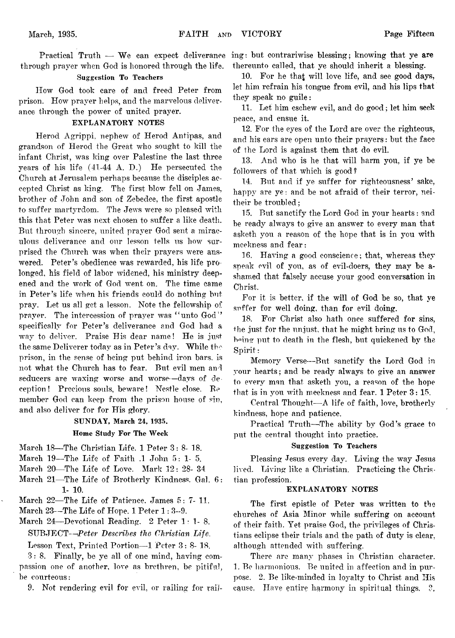through prayer when God is honored through the life.

# Suggestion To Teachers

How God took care of and freed Peter from prison. How prayer helps, and the marvelous deliverance through the power of united prayer.

# EXPLANATORY NOTES

Herod Agrippi, nephew of Herod Antipas, and grandson of Herod the Great who sought to kill the infant Christ, was king over Palestine the last three years of his life (41-44 A. D.) He persecuted the Church at Jerusalem perhaps because the disciples accepted Christ as king. The first blow fell on James, brother of John and son of Zebedee, the first apostle to suffer martyrdom. The Jews were so pleased with this that Peter was next chosen to suffer a like death. But through sincere, united prayer God sent a miraculous deliverance and our lesson tells us how surprised the Church was when their prayers were answered. Peter's obedience was rewarded, his life pro longed, his field of labor widened, his ministry deepened and the work of God went on. The time came in Peter's life when his friends could do nothing but pray. Let us all get a lesson. Note the fellowship of prayer. The intercession of prayer was "unto God" specifically for Peter's deliverance and God had a way to deliver. Praise His dear name! He is just the same Deliverer today as in Peter's day. While the prison, in the sense of being put behind iron bars, is not what the Church has to fear. But evil men and seducers are waxing worse and worse— days of deception ! Precious souls, beware! Nestle close. Re member God can keep from the prison house of sin, and also deliver for for His glory.

# SUNDAY, March 24, 1935.

# Home Study For The Week

- March 18— The Christian Life. 1 Peter 3: 8- 18.
- March 19—The Life of Faith .1 John 5: 1- 5.
- March 20-The Life of Love. Mark 12: 28- 34
- March 21—The Life of Brotherly Kindness. Gal. 6: **1**- **10**.
- March 22— The Life of Patience. James 5: 7- 11.
- March 23--The Life of Hope. 1 Peter 1: 3--9.
- March 24-Devotional Reading. 2 Peter  $1: 1-8$ . SUBJECT*—Peter Describes the Christian Life.*

Lesson Text, Printed Portion—1 Peter 3: 8-18.

3: 8. Finally, be ye all of one mind, having compassion one of another, love as brethren, be pitiful, be courteous:

9. Not rendering evil for evil, or railing for rail-

Practical Truth — We can expect deliverance ing: but contrariwise blessing; knowing that ye are thereunto called, that ye should inherit a blessing.

> 10. For he that will love life, and see good days, let him refrain his tongue from evil, and his lips that they speak no guile:

> 11. Let him eschew evil, and do good; let him seek peace, and ensue it.

> 12. For the eyes of the Lord are over the righteous, and his ears are open unto their prayers: but the face of the Lord is against them that do evil.

> 13. And who is he that will harm you, if ye be followers of that which is good?

> 14. But and if ye suffer for righteousness' sake, happy are ye : and be not afraid of their terror, neitheir be troubled;

> 15. But sanctify the Lord God in your hearts : and be ready always to give an answer to every man that asketh you a reason of the hope that is in you with meekness and fear:

> 16. Having a good conscience; that, whereas they speak evil of you, as of evil-doers, they may be ashamed that falsely accuse your good conversation in Christ.

> For it is better, if the will of God be so, that ye suffer for well doing, than for evil doing.

> 18. For Christ also hath once suffered for sins, +he just for the unjust, that he might bring us to God, heing put to death in the flesh, but quickened by the Spirit:

> Memory Verse—But sanctify the Lord God in your hearts; and be ready always to give an answer to every man that asketh you, a reason of the hope that is in you with meekness and fear. 1 Peter 3: 15.

> Central Thought— A life of faith, love, brotherly kindness, hope and patience.

> Practical Truth—The ability by God's grace to put the central thought into practice.

#### Suggestion To Teachers

Pleasing Jesus every day. Living the way Jesus lived. Living like a Christian. Practicing the Christian profession.

# EXPLANATORY NOTES

The first epistle of Peter was written to the churches of Asia Minor while suffering on account of their faith. *Yet* praise God, the privileges of Christians eclipse their trials and the path of duty is clear, although attended with suffering.

There are many phases in Christian character. 1. Be harmonious. Be united in affection and in purpose. 2. Be like-minded in loyalty to Christ and His cause. Have entire harmony in spiritual things. ?,